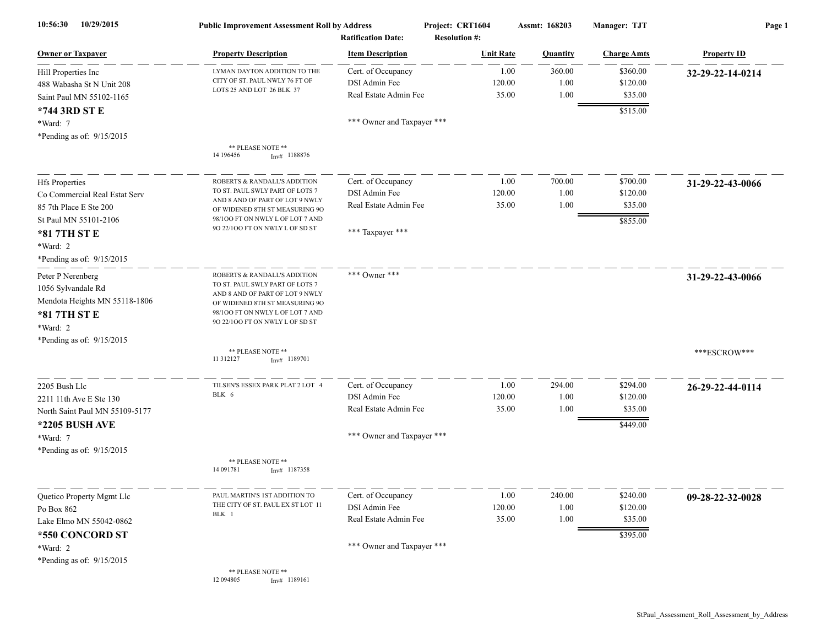| 10/29/2015<br>10:56:30                                                                                                                                             | <b>Public Improvement Assessment Roll by Address</b><br><b>Ratification Date:</b>                                                                                                                                                |                                                                                            | Project: CRT1604<br><b>Resolution #:</b> | Assmt: 168203          | Manager: TJT                                | Page 1             |  |
|--------------------------------------------------------------------------------------------------------------------------------------------------------------------|----------------------------------------------------------------------------------------------------------------------------------------------------------------------------------------------------------------------------------|--------------------------------------------------------------------------------------------|------------------------------------------|------------------------|---------------------------------------------|--------------------|--|
| <b>Owner or Taxpayer</b>                                                                                                                                           | <b>Property Description</b>                                                                                                                                                                                                      | <b>Item Description</b>                                                                    | <b>Unit Rate</b>                         | <b>Quantity</b>        | <b>Charge Amts</b>                          | <b>Property ID</b> |  |
| Hill Properties Inc<br>488 Wabasha St N Unit 208<br>Saint Paul MN 55102-1165                                                                                       | LYMAN DAYTON ADDITION TO THE<br>CITY OF ST. PAUL NWLY 76 FT OF<br>LOTS 25 AND LOT 26 BLK 37                                                                                                                                      | Cert. of Occupancy<br>DSI Admin Fee<br>Real Estate Admin Fee                               | 1.00<br>120.00<br>35.00                  | 360.00<br>1.00<br>1.00 | \$360.00<br>\$120.00<br>\$35.00             | 32-29-22-14-0214   |  |
| *744 3RD ST E<br>*Ward: 7<br>*Pending as of: 9/15/2015                                                                                                             | ** PLEASE NOTE **<br>14 196456<br>$Inv#$ 1188876                                                                                                                                                                                 | *** Owner and Taxpayer ***                                                                 |                                          |                        | \$515.00                                    |                    |  |
| <b>Hfs Properties</b><br>Co Commercial Real Estat Serv<br>85 7th Place E Ste 200<br>St Paul MN 55101-2106<br>*81 7TH ST E<br>*Ward: 2<br>*Pending as of: 9/15/2015 | ROBERTS & RANDALL'S ADDITION<br>TO ST. PAUL SWLY PART OF LOTS 7<br>AND 8 AND OF PART OF LOT 9 NWLY<br>OF WIDENED 8TH ST MEASURING 9O<br>98/100 FT ON NWLY L OF LOT 7 AND<br>90 22/100 FT ON NWLY L OF SD ST                      | Cert. of Occupancy<br>DSI Admin Fee<br>Real Estate Admin Fee<br>*** Taxpayer ***           | 1.00<br>120.00<br>35.00                  | 700.00<br>1.00<br>1.00 | \$700.00<br>\$120.00<br>\$35.00<br>\$855.00 | 31-29-22-43-0066   |  |
| Peter P Nerenberg<br>1056 Sylvandale Rd<br>Mendota Heights MN 55118-1806<br>*81 7TH ST E<br>*Ward: 2<br>*Pending as of: 9/15/2015                                  | ROBERTS & RANDALL'S ADDITION<br>TO ST. PAUL SWLY PART OF LOTS 7<br>AND 8 AND OF PART OF LOT 9 NWLY<br>OF WIDENED 8TH ST MEASURING 9O<br>98/100 FT ON NWLY L OF LOT 7 AND<br>90 22/100 FT ON NWLY L OF SD ST<br>** PLEASE NOTE ** | *** Owner ***                                                                              |                                          |                        |                                             | 31-29-22-43-0066   |  |
|                                                                                                                                                                    | 11 312127<br>$Inv#$ 1189701                                                                                                                                                                                                      |                                                                                            |                                          |                        |                                             | ***ESCROW***       |  |
| 2205 Bush Llc<br>2211 11th Ave E Ste 130<br>North Saint Paul MN 55109-5177<br>*2205 BUSH AVE<br>*Ward: 7                                                           | TILSEN'S ESSEX PARK PLAT 2 LOT 4<br>BLK 6                                                                                                                                                                                        | Cert. of Occupancy<br>DSI Admin Fee<br>Real Estate Admin Fee<br>*** Owner and Taxpayer *** | 1.00<br>120.00<br>35.00                  | 294.00<br>1.00<br>1.00 | \$294.00<br>\$120.00<br>\$35.00<br>\$449.00 | 26-29-22-44-0114   |  |
| *Pending as of: $9/15/2015$                                                                                                                                        | ** PLEASE NOTE **<br>14 09 1781<br>$Inv#$ 1187358                                                                                                                                                                                |                                                                                            |                                          |                        |                                             |                    |  |
| Quetico Property Mgmt Llc<br>Po Box 862<br>Lake Elmo MN 55042-0862<br>*550 CONCORD ST<br>*Ward: 2                                                                  | PAUL MARTIN'S 1ST ADDITION TO<br>THE CITY OF ST. PAUL EX ST LOT 11<br>BLK 1                                                                                                                                                      | Cert. of Occupancy<br>DSI Admin Fee<br>Real Estate Admin Fee<br>*** Owner and Taxpayer *** | 1.00<br>120.00<br>35.00                  | 240.00<br>1.00<br>1.00 | \$240.00<br>\$120.00<br>\$35.00<br>\$395.00 | 09-28-22-32-0028   |  |
| *Pending as of: 9/15/2015                                                                                                                                          | ** PLEASE NOTE **<br>12 094805<br>$Inv#$ 1189161                                                                                                                                                                                 |                                                                                            |                                          |                        |                                             |                    |  |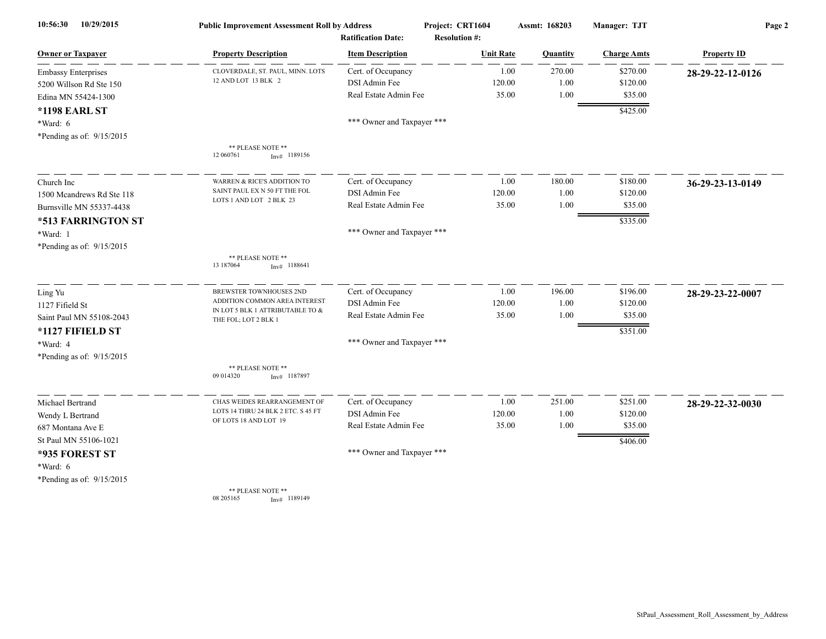| 10/29/2015<br>10:56:30     | <b>Public Improvement Assessment Roll by Address</b>              |                            | Project: CRT1604     | Assmt: 168203  | Manager: TJT       | Page 2             |
|----------------------------|-------------------------------------------------------------------|----------------------------|----------------------|----------------|--------------------|--------------------|
|                            |                                                                   | <b>Ratification Date:</b>  | <b>Resolution #:</b> |                |                    |                    |
| <b>Owner or Taxpayer</b>   | <b>Property Description</b>                                       | <b>Item Description</b>    | <b>Unit Rate</b>     | Quantity       | <b>Charge Amts</b> | <b>Property ID</b> |
| <b>Embassy Enterprises</b> | CLOVERDALE, ST. PAUL, MINN. LOTS                                  | Cert. of Occupancy         |                      | 270.00<br>1.00 | \$270.00           | 28-29-22-12-0126   |
| 5200 Willson Rd Ste 150    | 12 AND LOT 13 BLK 2                                               | DSI Admin Fee              | 120.00               | 1.00           | \$120.00           |                    |
| Edina MN 55424-1300        |                                                                   | Real Estate Admin Fee      | 35.00                | 1.00           | \$35.00            |                    |
| <b>*1198 EARL ST</b>       |                                                                   |                            |                      |                | \$425.00           |                    |
| *Ward: 6                   |                                                                   | *** Owner and Taxpayer *** |                      |                |                    |                    |
| *Pending as of: 9/15/2015  |                                                                   |                            |                      |                |                    |                    |
|                            | ** PLEASE NOTE **<br>12 060761<br>$Inv#$ 1189156                  |                            |                      |                |                    |                    |
| Church Inc                 | WARREN & RICE'S ADDITION TO                                       | Cert. of Occupancy         |                      | 1.00<br>180.00 | \$180.00           | 36-29-23-13-0149   |
| 1500 Mcandrews Rd Ste 118  | SAINT PAUL EX N 50 FT THE FOL                                     | DSI Admin Fee              | 120.00               | 1.00           | \$120.00           |                    |
| Burnsville MN 55337-4438   | LOTS 1 AND LOT 2 BLK 23                                           | Real Estate Admin Fee      | 35.00                | 1.00           | \$35.00            |                    |
| *513 FARRINGTON ST         |                                                                   |                            |                      |                | \$335.00           |                    |
| *Ward: 1                   |                                                                   | *** Owner and Taxpayer *** |                      |                |                    |                    |
| *Pending as of: 9/15/2015  |                                                                   |                            |                      |                |                    |                    |
|                            | ** PLEASE NOTE **<br>13 187064<br>$Inv#$ 1188641                  |                            |                      |                |                    |                    |
| Ling Yu                    | <b>BREWSTER TOWNHOUSES 2ND</b>                                    | Cert. of Occupancy         |                      | 196.00<br>1.00 | \$196.00           | 28-29-23-22-0007   |
| 1127 Fifield St            | ADDITION COMMON AREA INTEREST<br>IN LOT 5 BLK 1 ATTRIBUTABLE TO & | DSI Admin Fee              | 120.00               | 1.00           | \$120.00           |                    |
| Saint Paul MN 55108-2043   | THE FOL; LOT 2 BLK 1                                              | Real Estate Admin Fee      | 35.00                | 1.00           | \$35.00            |                    |
| *1127 FIFIELD ST           |                                                                   |                            |                      |                | \$351.00           |                    |
| *Ward: 4                   |                                                                   | *** Owner and Taxpayer *** |                      |                |                    |                    |
| *Pending as of: 9/15/2015  |                                                                   |                            |                      |                |                    |                    |
|                            | ** PLEASE NOTE **<br>09 014320<br>$Inv#$ 1187897                  |                            |                      |                |                    |                    |
| Michael Bertrand           | CHAS WEIDES REARRANGEMENT OF                                      | Cert. of Occupancy         |                      | 251.00<br>1.00 | \$251.00           | 28-29-22-32-0030   |
| Wendy L Bertrand           | LOTS 14 THRU 24 BLK 2 ETC. S 45 FT                                | DSI Admin Fee              | 120.00               | 1.00           | \$120.00           |                    |
| 687 Montana Ave E          | OF LOTS 18 AND LOT 19                                             | Real Estate Admin Fee      | 35.00                | 1.00           | \$35.00            |                    |
| St Paul MN 55106-1021      |                                                                   |                            |                      |                | \$406.00           |                    |
| *935 FOREST ST             |                                                                   | *** Owner and Taxpayer *** |                      |                |                    |                    |
| *Ward: 6                   |                                                                   |                            |                      |                |                    |                    |
| *Pending as of: 9/15/2015  |                                                                   |                            |                      |                |                    |                    |
|                            | ** PLEASE NOTE **<br>08 205165<br>$Inv#$ 1189149                  |                            |                      |                |                    |                    |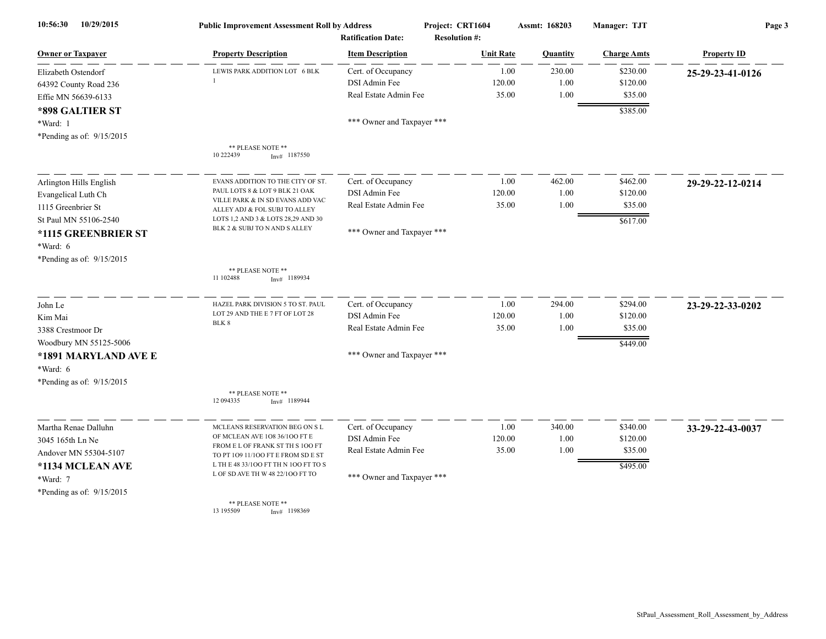| 10/29/2015<br>10:56:30      | <b>Public Improvement Assessment Roll by Address</b><br><b>Ratification Date:</b> |                            | Project: CRT1604<br><b>Resolution #:</b> | Assmt: 168203 | Manager: TJT       | Page 3             |
|-----------------------------|-----------------------------------------------------------------------------------|----------------------------|------------------------------------------|---------------|--------------------|--------------------|
| <b>Owner or Taxpayer</b>    | <b>Property Description</b>                                                       | <b>Item Description</b>    | <b>Unit Rate</b>                         | Quantity      | <b>Charge Amts</b> | <b>Property ID</b> |
| Elizabeth Ostendorf         | LEWIS PARK ADDITION LOT 6 BLK                                                     | Cert. of Occupancy         | 1.00                                     | 230.00        | \$230.00           | 25-29-23-41-0126   |
| 64392 County Road 236       |                                                                                   | DSI Admin Fee              | 120.00                                   | $1.00\,$      | \$120.00           |                    |
| Effie MN 56639-6133         |                                                                                   | Real Estate Admin Fee      | 35.00                                    | 1.00          | \$35.00            |                    |
| *898 GALTIER ST             |                                                                                   |                            |                                          |               | \$385.00           |                    |
| *Ward: 1                    |                                                                                   | *** Owner and Taxpayer *** |                                          |               |                    |                    |
| *Pending as of: 9/15/2015   |                                                                                   |                            |                                          |               |                    |                    |
|                             | ** PLEASE NOTE **<br>10 222439<br>$Inv#$ 1187550                                  |                            |                                          |               |                    |                    |
| Arlington Hills English     | EVANS ADDITION TO THE CITY OF ST.                                                 | Cert. of Occupancy         | 1.00                                     | 462.00        | \$462.00           | 29-29-22-12-0214   |
| Evangelical Luth Ch         | PAUL LOTS 8 & LOT 9 BLK 21 OAK                                                    | DSI Admin Fee              | 120.00                                   | 1.00          | \$120.00           |                    |
| 1115 Greenbrier St          | VILLE PARK & IN SD EVANS ADD VAC<br>ALLEY ADJ & FOL SUBJ TO ALLEY                 | Real Estate Admin Fee      | 35.00                                    | 1.00          | \$35.00            |                    |
| St Paul MN 55106-2540       | LOTS 1,2 AND 3 & LOTS 28,29 AND 30                                                |                            |                                          |               | \$617.00           |                    |
| *1115 GREENBRIER ST         | BLK 2 & SUBJ TO N AND S ALLEY                                                     | *** Owner and Taxpayer *** |                                          |               |                    |                    |
| *Ward: 6                    |                                                                                   |                            |                                          |               |                    |                    |
| *Pending as of: 9/15/2015   |                                                                                   |                            |                                          |               |                    |                    |
|                             | ** PLEASE NOTE **<br>11 102488<br>$Inv#$ 1189934                                  |                            |                                          |               |                    |                    |
| John Le                     | HAZEL PARK DIVISION 5 TO ST. PAUL                                                 | Cert. of Occupancy         | 1.00                                     | 294.00        | \$294.00           | 23-29-22-33-0202   |
| Kim Mai                     | LOT 29 AND THE E 7 FT OF LOT 28                                                   | DSI Admin Fee              | 120.00                                   | 1.00          | \$120.00           |                    |
| 3388 Crestmoor Dr           | BLK 8                                                                             | Real Estate Admin Fee      | 35.00                                    | 1.00          | \$35.00            |                    |
| Woodbury MN 55125-5006      |                                                                                   |                            |                                          |               | \$449.00           |                    |
| *1891 MARYLAND AVE E        |                                                                                   | *** Owner and Taxpayer *** |                                          |               |                    |                    |
| *Ward: 6                    |                                                                                   |                            |                                          |               |                    |                    |
| *Pending as of: 9/15/2015   |                                                                                   |                            |                                          |               |                    |                    |
|                             | ** PLEASE NOTE **<br>12 094335<br>$Inv#$ 1189944                                  |                            |                                          |               |                    |                    |
| Martha Renae Dalluhn        | MCLEANS RESERVATION BEG ON SL                                                     | Cert. of Occupancy         | 1.00                                     | 340.00        | \$340.00           | 33-29-22-43-0037   |
| 3045 165th Ln Ne            | OF MCLEAN AVE 108 36/100 FT E                                                     | DSI Admin Fee              | 120.00                                   | 1.00          | \$120.00           |                    |
| Andover MN 55304-5107       | FROM E L OF FRANK ST TH S 100 FT<br>TO PT 109 11/100 FT E FROM SD E ST            | Real Estate Admin Fee      | 35.00                                    | 1.00          | \$35.00            |                    |
| *1134 MCLEAN AVE            | L TH E 48 33/100 FT TH N 100 FT TO S                                              |                            |                                          |               | \$495.00           |                    |
| *Ward: 7                    | L OF SD AVE TH W 48 22/100 FT TO                                                  | *** Owner and Taxpayer *** |                                          |               |                    |                    |
| *Pending as of: $9/15/2015$ |                                                                                   |                            |                                          |               |                    |                    |
|                             | ** PLEASE NOTE **                                                                 |                            |                                          |               |                    |                    |

13 195509 Inv# 1198369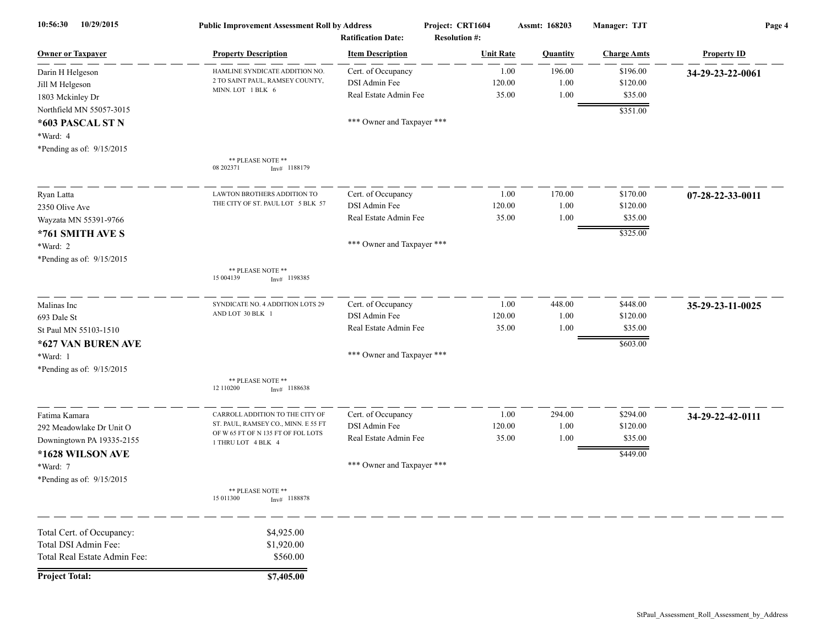| 10/29/2015<br>10:56:30       | <b>Public Improvement Assessment Roll by Address</b><br><b>Ratification Date:</b> |                            | Project: CRT1604<br><b>Resolution #:</b> |                  | Assmt: 168203 | <b>Manager: TJT</b> | Page 4             |
|------------------------------|-----------------------------------------------------------------------------------|----------------------------|------------------------------------------|------------------|---------------|---------------------|--------------------|
| <b>Owner or Taxpayer</b>     | <b>Property Description</b>                                                       | <b>Item Description</b>    |                                          | <b>Unit Rate</b> | Quantity      | <b>Charge Amts</b>  | <b>Property ID</b> |
| Darin H Helgeson             | HAMLINE SYNDICATE ADDITION NO.                                                    | Cert. of Occupancy         |                                          | 1.00             | 196.00        | \$196.00            | 34-29-23-22-0061   |
| Jill M Helgeson              | 2 TO SAINT PAUL, RAMSEY COUNTY,                                                   | DSI Admin Fee              |                                          | 120.00           | 1.00          | \$120.00            |                    |
| 1803 Mckinley Dr             | MINN. LOT 1 BLK 6                                                                 | Real Estate Admin Fee      |                                          | 35.00            | 1.00          | \$35.00             |                    |
| Northfield MN 55057-3015     |                                                                                   |                            |                                          |                  |               | \$351.00            |                    |
| *603 PASCAL ST N             |                                                                                   | *** Owner and Taxpayer *** |                                          |                  |               |                     |                    |
| *Ward: 4                     |                                                                                   |                            |                                          |                  |               |                     |                    |
| *Pending as of: 9/15/2015    |                                                                                   |                            |                                          |                  |               |                     |                    |
|                              | ** PLEASE NOTE **<br>08 202371<br>$Inv#$ 1188179                                  |                            |                                          |                  |               |                     |                    |
| Ryan Latta                   | LAWTON BROTHERS ADDITION TO                                                       | Cert. of Occupancy         |                                          | 1.00             | 170.00        | \$170.00            | 07-28-22-33-0011   |
| 2350 Olive Ave               | THE CITY OF ST. PAUL LOT 5 BLK 57                                                 | DSI Admin Fee              |                                          | 120.00           | 1.00          | \$120.00            |                    |
| Wayzata MN 55391-9766        |                                                                                   | Real Estate Admin Fee      |                                          | 35.00            | 1.00          | \$35.00             |                    |
| *761 SMITH AVE S             |                                                                                   |                            |                                          |                  |               | \$325.00            |                    |
| *Ward: 2                     |                                                                                   | *** Owner and Taxpayer *** |                                          |                  |               |                     |                    |
| *Pending as of: 9/15/2015    |                                                                                   |                            |                                          |                  |               |                     |                    |
|                              | ** PLEASE NOTE **<br>15 004139<br>$Inv#$ 1198385                                  |                            |                                          |                  |               |                     |                    |
| Malinas Inc                  | SYNDICATE NO. 4 ADDITION LOTS 29                                                  | Cert. of Occupancy         |                                          | 1.00             | 448.00        | \$448.00            | 35-29-23-11-0025   |
| 693 Dale St                  | AND LOT 30 BLK 1                                                                  | DSI Admin Fee              |                                          | 120.00           | 1.00          | \$120.00            |                    |
| St Paul MN 55103-1510        |                                                                                   | Real Estate Admin Fee      |                                          | 35.00            | 1.00          | \$35.00             |                    |
| *627 VAN BUREN AVE           |                                                                                   |                            |                                          |                  |               | \$603.00            |                    |
| *Ward: 1                     |                                                                                   | *** Owner and Taxpayer *** |                                          |                  |               |                     |                    |
| *Pending as of: 9/15/2015    |                                                                                   |                            |                                          |                  |               |                     |                    |
|                              | ** PLEASE NOTE **<br>12 110200<br>$Inv#$ 1188638                                  |                            |                                          |                  |               |                     |                    |
| Fatima Kamara                | CARROLL ADDITION TO THE CITY OF                                                   | Cert. of Occupancy         |                                          | 1.00             | 294.00        | \$294.00            | 34-29-22-42-0111   |
| 292 Meadowlake Dr Unit O     | ST. PAUL, RAMSEY CO., MINN. E 55 FT                                               | DSI Admin Fee              |                                          | 120.00           | 1.00          | \$120.00            |                    |
| Downingtown PA 19335-2155    | OF W 65 FT OF N 135 FT OF FOL LOTS<br>1 THRU LOT 4 BLK 4                          | Real Estate Admin Fee      |                                          | 35.00            | 1.00          | \$35.00             |                    |
| *1628 WILSON AVE             |                                                                                   |                            |                                          |                  |               | \$449.00            |                    |
| *Ward: 7                     |                                                                                   | *** Owner and Taxpayer *** |                                          |                  |               |                     |                    |
| *Pending as of: 9/15/2015    |                                                                                   |                            |                                          |                  |               |                     |                    |
|                              | ** PLEASE NOTE **<br>15 011300<br>$Inv#$ 1188878                                  |                            |                                          |                  |               |                     |                    |
| Total Cert. of Occupancy:    | \$4,925.00                                                                        |                            |                                          |                  |               |                     |                    |
| Total DSI Admin Fee:         | \$1,920.00                                                                        |                            |                                          |                  |               |                     |                    |
| Total Real Estate Admin Fee: | \$560.00                                                                          |                            |                                          |                  |               |                     |                    |
| <b>Project Total:</b>        | \$7,405.00                                                                        |                            |                                          |                  |               |                     |                    |